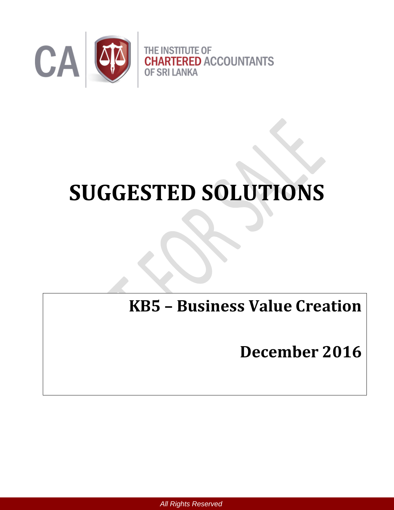

# **SUGGESTED SOLUTIONS**

**KB5 – Business Value Creation** 

**December 2016**

 *All Rights Reserved*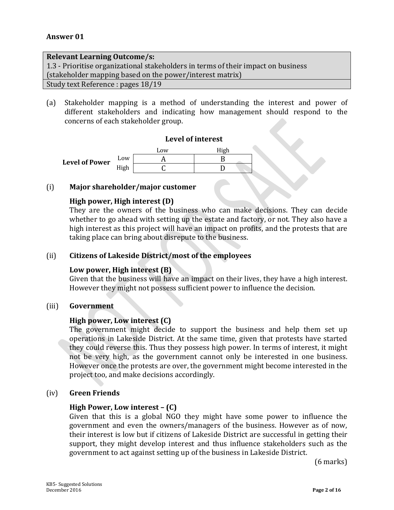#### **Relevant Learning Outcome/s:**

1.3 - Prioritise organizational stakeholders in terms of their impact on business (stakeholder mapping based on the power/interest matrix)

Study text Reference : pages 18/19

(a) Stakeholder mapping is a method of understanding the interest and power of different stakeholders and indicating how management should respond to the concerns of each stakeholder group.

#### **Level of interest**



#### (i) **Major shareholder/major customer**

#### **High power, High interest (D)**

They are the owners of the business who can make decisions. They can decide whether to go ahead with setting up the estate and factory, or not. They also have a high interest as this project will have an impact on profits, and the protests that are taking place can bring about disrepute to the business.

#### (ii) **Citizens of Lakeside District/most of the employees**

#### **Low power, High interest (B)**

Given that the business will have an impact on their lives, they have a high interest. However they might not possess sufficient power to influence the decision.

#### (iii) **Government**

#### **High power, Low interest (C)**

The government might decide to support the business and help them set up operations in Lakeside District. At the same time, given that protests have started they could reverse this. Thus they possess high power. In terms of interest, it might not be very high, as the government cannot only be interested in one business. However once the protests are over, the government might become interested in the project too, and make decisions accordingly.

#### (iv) **Green Friends**

#### **High Power, Low interest – (C)**

Given that this is a global NGO they might have some power to influence the government and even the owners/managers of the business. However as of now, their interest is low but if citizens of Lakeside District are successful in getting their support, they might develop interest and thus influence stakeholders such as the government to act against setting up of the business in Lakeside District.

(6 marks)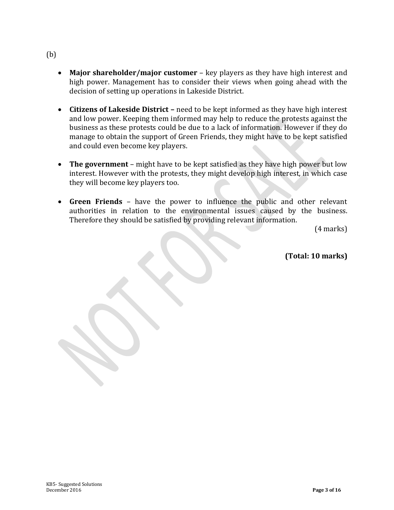# (b)

- **Major shareholder/major customer** key players as they have high interest and high power. Management has to consider their views when going ahead with the decision of setting up operations in Lakeside District.
- **Citizens of Lakeside District –** need to be kept informed as they have high interest and low power. Keeping them informed may help to reduce the protests against the business as these protests could be due to a lack of information. However if they do manage to obtain the support of Green Friends, they might have to be kept satisfied and could even become key players.
- **The government** might have to be kept satisfied as they have high power but low interest. However with the protests, they might develop high interest, in which case they will become key players too.
- **Green Friends** have the power to influence the public and other relevant authorities in relation to the environmental issues caused by the business. Therefore they should be satisfied by providing relevant information.

(4 marks)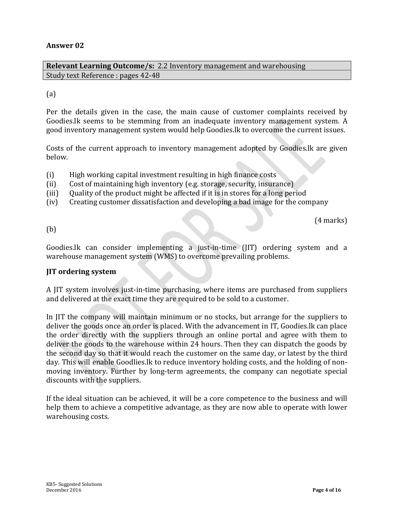**Relevant Learning Outcome/s:** 2.2 Inventory management and warehousing Study text Reference : pages 42-48

#### (a)

Per the details given in the case, the main cause of customer complaints received by Goodies.lk seems to be stemming from an inadequate inventory management system. A good inventory management system would help Goodies.lk to overcome the current issues.

Costs of the current approach to inventory management adopted by Goodies.lk are given below.

- (i) High working capital investment resulting in high finance costs
- (ii) Cost of maintaining high inventory (e.g. storage, security, insurance)
- (iii) Quality of the product might be affected if it is in stores for a long period
- (iv) Creating customer dissatisfaction and developing a bad image for the company

(4 marks)

(b)

Goodies.lk can consider implementing a just-in-time (JIT) ordering system and a warehouse management system (WMS) to overcome prevailing problems.

#### **JIT ordering system**

A JIT system involves just-in-time purchasing, where items are purchased from suppliers and delivered at the exact time they are required to be sold to a customer.

In JIT the company will maintain minimum or no stocks, but arrange for the suppliers to deliver the goods once an order is placed. With the advancement in IT, Goodies.lk can place the order directly with the suppliers through an online portal and agree with them to deliver the goods to the warehouse within 24 hours. Then they can dispatch the goods by the second day so that it would reach the customer on the same day, or latest by the third day. This will enable Goodlies.lk to reduce inventory holding costs, and the holding of nonmoving inventory. Further by long-term agreements, the company can negotiate special discounts with the suppliers.

If the ideal situation can be achieved, it will be a core competence to the business and will help them to achieve a competitive advantage, as they are now able to operate with lower warehousing costs.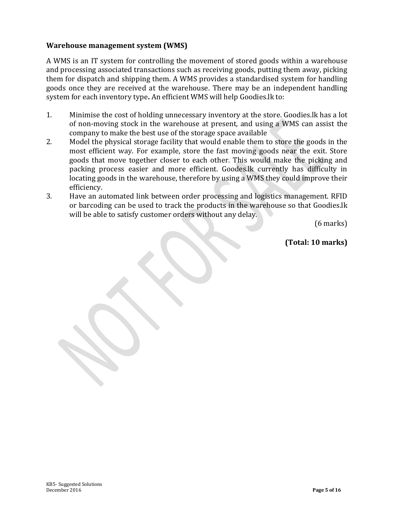#### **Warehouse management system (WMS)**

A WMS is an IT system for controlling the movement of stored goods within a warehouse and processing associated transactions such as receiving goods, putting them away, picking them for dispatch and shipping them. A WMS provides a standardised system for handling goods once they are received at the warehouse. There may be an independent handling system for each inventory type**.** An efficient WMS will help Goodies.lk to:

- 1. Minimise the cost of holding unnecessary inventory at the store. Goodies.lk has a lot of non-moving stock in the warehouse at present, and using a WMS can assist the company to make the best use of the storage space available
- 2. Model the physical storage facility that would enable them to store the goods in the most efficient way. For example, store the fast moving goods near the exit. Store goods that move together closer to each other. This would make the picking and packing process easier and more efficient. Goodes.lk currently has difficulty in locating goods in the warehouse, therefore by using a WMS they could improve their efficiency.
- 3. Have an automated link between order processing and logistics management. RFID or barcoding can be used to track the products in the warehouse so that Goodies.lk will be able to satisfy customer orders without any delay.

(6 marks)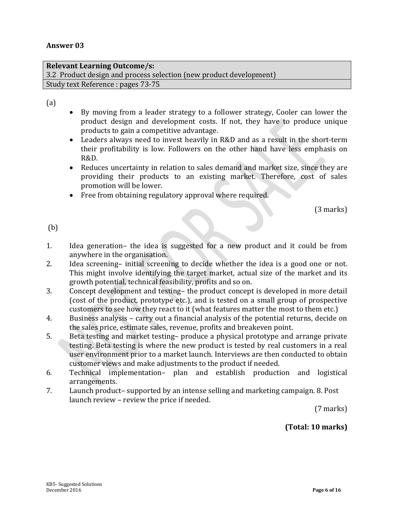# **Relevant Learning Outcome/s:** 3.2 Product design and process selection (new product development)

Study text Reference : pages 73-75

(a)

- By moving from a leader strategy to a follower strategy, Cooler can lower the product design and development costs. If not, they have to produce unique products to gain a competitive advantage.
- Leaders always need to invest heavily in R&D and as a result in the short-term their profitability is low. Followers on the other hand have less emphasis on R&D.
- Reduces uncertainty in relation to sales demand and market size, since they are providing their products to an existing market. Therefore, cost of sales promotion will be lower.
- Free from obtaining regulatory approval where required.

(3 marks)

(b)

- 1. Idea generation– the idea is suggested for a new product and it could be from anywhere in the organisation.
- 2. Idea screening– initial screening to decide whether the idea is a good one or not. This might involve identifying the target market, actual size of the market and its growth potential, technical feasibility, profits and so on.
- 3. Concept development and testing– the product concept is developed in more detail (cost of the product, prototype etc.), and is tested on a small group of prospective customers to see how they react to it (what features matter the most to them etc.)
- 4. Business analysis carry out a financial analysis of the potential returns, decide on the sales price, estimate sales, revenue, profits and breakeven point.
- 5. Beta testing and market testing– produce a physical prototype and arrange private testing. Beta testing is where the new product is tested by real customers in a real user environment prior to a market launch. Interviews are then conducted to obtain customer views and make adjustments to the product if needed.
- 6. Technical implementation– plan and establish production and logistical arrangements.
- 7. Launch product– supported by an intense selling and marketing campaign. 8. Post launch review – review the price if needed.

(7 marks)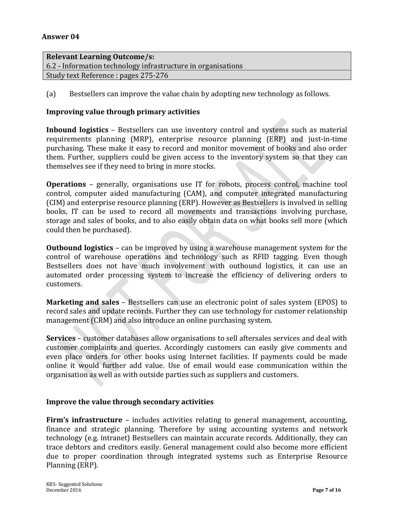#### **Relevant Learning Outcome/s:**

6.2 - Information technology infrastructure in organisations Study text Reference : pages 275-276

(a) Bestsellers can improve the value chain by adopting new technology as follows.

#### **Improving value through primary activities**

**Inbound logistics** – Bestsellers can use inventory control and systems such as material requirements planning (MRP), enterprise resource planning (ERP) and just-in-time purchasing. These make it easy to record and monitor movement of books and also order them. Further, suppliers could be given access to the inventory system so that they can themselves see if they need to bring in more stocks.

**Operations** – generally, organisations use IT for robots, process control, machine tool control, computer aided manufacturing (CAM), and computer integrated manufacturing (CIM) and enterprise resource planning (ERP). However as Bestsellers is involved in selling books, IT can be used to record all movements and transactions involving purchase, storage and sales of books, and to also easily obtain data on what books sell more (which could then be purchased).

**Outbound logistics** – can be improved by using a warehouse management system for the control of warehouse operations and technology such as RFID tagging. Even though Bestsellers does not have much involvement with outbound logistics, it can use an automated order processing system to increase the efficiency of delivering orders to customers.

**Marketing and sales** – Bestsellers can use an electronic point of sales system (EPOS) to record sales and update records. Further they can use technology for customer relationship management (CRM) and also introduce an online purchasing system.

**Services** – customer databases allow organisations to sell aftersales services and deal with customer complaints and queries. Accordingly customers can easily give comments and even place orders for other books using Internet facilities. If payments could be made online it would further add value. Use of email would ease communication within the organisation as well as with outside parties such as suppliers and customers.

#### **Improve the value through secondary activities**

**Firm's infrastructure** – includes activities relating to general management, accounting, finance and strategic planning. Therefore by using accounting systems and network technology (e.g. intranet) Bestsellers can maintain accurate records. Additionally, they can trace debtors and creditors easily. General management could also become more efficient due to proper coordination through integrated systems such as Enterprise Resource Planning (ERP).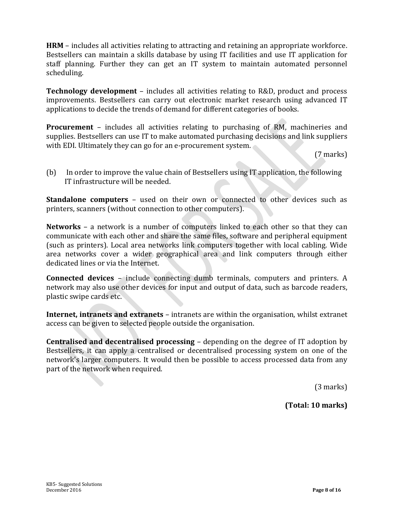**HRM** – includes all activities relating to attracting and retaining an appropriate workforce. Bestsellers can maintain a skills database by using IT facilities and use IT application for staff planning. Further they can get an IT system to maintain automated personnel scheduling.

**Technology development** – includes all activities relating to R&D, product and process improvements. Bestsellers can carry out electronic market research using advanced IT applications to decide the trends of demand for different categories of books.

**Procurement** – includes all activities relating to purchasing of RM, machineries and supplies. Bestsellers can use IT to make automated purchasing decisions and link suppliers with EDI. Ultimately they can go for an e-procurement system.

(7 marks)

(b) In order to improve the value chain of Bestsellers using IT application, the following IT infrastructure will be needed.

**Standalone computers** – used on their own or connected to other devices such as printers, scanners (without connection to other computers).

**Networks** – a network is a number of computers linked to each other so that they can communicate with each other and share the same files, software and peripheral equipment (such as printers). Local area networks link computers together with local cabling. Wide area networks cover a wider geographical area and link computers through either dedicated lines or via the Internet.

**Connected devices** – include connecting dumb terminals, computers and printers. A network may also use other devices for input and output of data, such as barcode readers, plastic swipe cards etc.

**Internet, intranets and extranets** – intranets are within the organisation, whilst extranet access can be given to selected people outside the organisation.

**Centralised and decentralised processing** – depending on the degree of IT adoption by Bestsellers, it can apply a centralised or decentralised processing system on one of the network's larger computers. It would then be possible to access processed data from any part of the network when required.

(3 marks)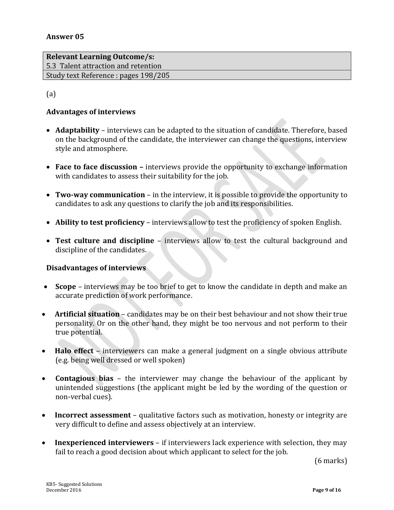**Relevant Learning Outcome/s:**  5.3 Talent attraction and retention Study text Reference : pages 198/205

(a)

#### **Advantages of interviews**

- **Adaptability**  interviews can be adapted to the situation of candidate. Therefore, based on the background of the candidate, the interviewer can change the questions, interview style and atmosphere.
- Face to face discussion interviews provide the opportunity to exchange information with candidates to assess their suitability for the job.
- **Two-way communication**  in the interview, it is possible to provide the opportunity to candidates to ask any questions to clarify the job and its responsibilities.
- **Ability to test proficiency**  interviews allow to test the proficiency of spoken English.
- **Test culture and discipline** interviews allow to test the cultural background and discipline of the candidates.

#### **Disadvantages of interviews**

- **Scope** interviews may be too brief to get to know the candidate in depth and make an accurate prediction of work performance.
- **Artificial situation** candidates may be on their best behaviour and not show their true personality. Or on the other hand, they might be too nervous and not perform to their true potential.
- **Halo effect** interviewers can make a general judgment on a single obvious attribute (e.g. being well dressed or well spoken)
- **Contagious bias** the interviewer may change the behaviour of the applicant by unintended suggestions (the applicant might be led by the wording of the question or non-verbal cues).
- **Incorrect assessment**  qualitative factors such as motivation, honesty or integrity are very difficult to define and assess objectively at an interview.
- **Inexperienced interviewers**  if interviewers lack experience with selection, they may fail to reach a good decision about which applicant to select for the job.

(6 marks)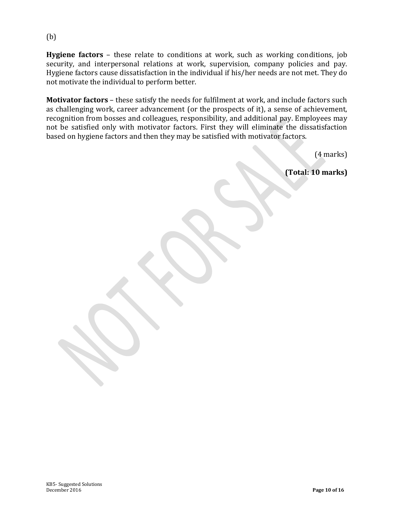**Hygiene factors** – these relate to conditions at work, such as working conditions, job security, and interpersonal relations at work, supervision, company policies and pay. Hygiene factors cause dissatisfaction in the individual if his/her needs are not met. They do not motivate the individual to perform better.

**Motivator factors** – these satisfy the needs for fulfilment at work, and include factors such as challenging work, career advancement (or the prospects of it), a sense of achievement, recognition from bosses and colleagues, responsibility, and additional pay. Employees may not be satisfied only with motivator factors. First they will eliminate the dissatisfaction based on hygiene factors and then they may be satisfied with motivator factors.

(4 marks)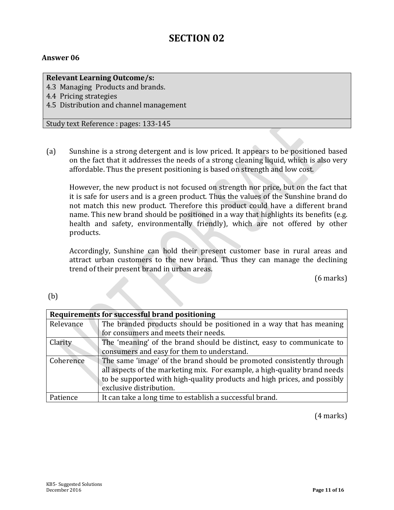# **SECTION 02**

#### **Answer 06**

**Relevant Learning Outcome/s:**

4.3 Managing Products and brands.

4.4 Pricing strategies

4.5 Distribution and channel management

Study text Reference : pages: 133-145

(a) Sunshine is a strong detergent and is low priced. It appears to be positioned based on the fact that it addresses the needs of a strong cleaning liquid, which is also very affordable. Thus the present positioning is based on strength and low cost.

However, the new product is not focused on strength nor price, but on the fact that it is safe for users and is a green product. Thus the values of the Sunshine brand do not match this new product. Therefore this product could have a different brand name. This new brand should be positioned in a way that highlights its benefits (e.g. health and safety, environmentally friendly), which are not offered by other products.

Accordingly, Sunshine can hold their present customer base in rural areas and attract urban customers to the new brand. Thus they can manage the declining trend of their present brand in urban areas.

(6 marks)

(b)

| Requirements for successful brand positioning |                                                                           |
|-----------------------------------------------|---------------------------------------------------------------------------|
| Relevance                                     | The branded products should be positioned in a way that has meaning       |
|                                               | for consumers and meets their needs.                                      |
| Clarity                                       | The 'meaning' of the brand should be distinct, easy to communicate to     |
|                                               | consumers and easy for them to understand.                                |
| Coherence                                     | The same 'image' of the brand should be promoted consistently through     |
|                                               | all aspects of the marketing mix. For example, a high-quality brand needs |
|                                               | to be supported with high-quality products and high prices, and possibly  |
|                                               | exclusive distribution.                                                   |
| Patience                                      | It can take a long time to establish a successful brand.                  |

(4 marks)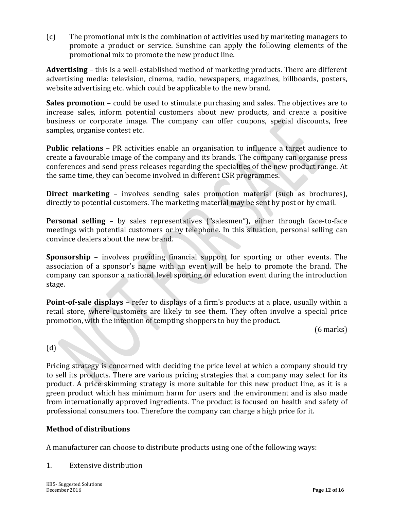(c) The promotional mix is the combination of activities used by marketing managers to promote a product or service. Sunshine can apply the following elements of the promotional mix to promote the new product line.

**Advertising** – this is a well-established method of marketing products. There are different advertising media: television, cinema, radio, newspapers, magazines, billboards, posters, website advertising etc. which could be applicable to the new brand.

**Sales promotion** – could be used to stimulate purchasing and sales. The objectives are to increase sales, inform potential customers about new products, and create a positive business or corporate image. The company can offer coupons, special discounts, free samples, organise contest etc.

**Public relations** – PR activities enable an organisation to influence a target audience to create a favourable image of the company and its brands. The company can organise press conferences and send press releases regarding the specialties of the new product range. At the same time, they can become involved in different CSR programmes.

**Direct marketing** – involves sending sales promotion material (such as brochures), directly to potential customers. The marketing material may be sent by post or by email.

**Personal selling** – by sales representatives ("salesmen"), either through face-to-face meetings with potential customers or by telephone. In this situation, personal selling can convince dealers about the new brand.

**Sponsorship** – involves providing financial support for sporting or other events. The association of a sponsor's name with an event will be help to promote the brand. The company can sponsor a national level sporting or education event during the introduction stage.

**Point-of-sale displays** – refer to displays of a firm's products at a place, usually within a retail store, where customers are likely to see them. They often involve a special price promotion, with the intention of tempting shoppers to buy the product.

(6 marks)

(d)

Pricing strategy is concerned with deciding the price level at which a company should try to sell its products. There are various pricing strategies that a company may select for its product. A price skimming strategy is more suitable for this new product line, as it is a green product which has minimum harm for users and the environment and is also made from internationally approved ingredients. The product is focused on health and safety of professional consumers too. Therefore the company can charge a high price for it.

# **Method of distributions**

A manufacturer can choose to distribute products using one of the following ways:

1. Extensive distribution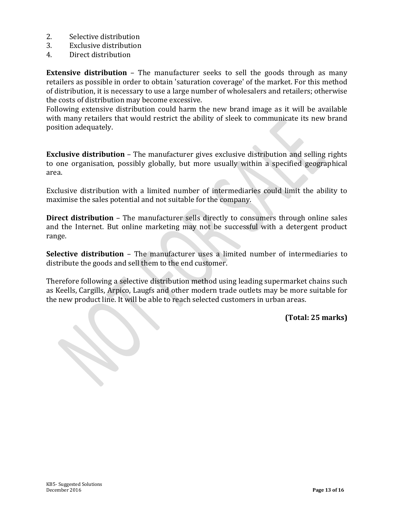- 2. Selective distribution
- 3. Exclusive distribution
- 4. Direct distribution

**Extensive distribution** – The manufacturer seeks to sell the goods through as many retailers as possible in order to obtain 'saturation coverage' of the market. For this method of distribution, it is necessary to use a large number of wholesalers and retailers; otherwise the costs of distribution may become excessive.

Following extensive distribution could harm the new brand image as it will be available with many retailers that would restrict the ability of sleek to communicate its new brand position adequately.

**Exclusive distribution** – The manufacturer gives exclusive distribution and selling rights to one organisation, possibly globally, but more usually within a specified geographical area.

Exclusive distribution with a limited number of intermediaries could limit the ability to maximise the sales potential and not suitable for the company.

**Direct distribution** – The manufacturer sells directly to consumers through online sales and the Internet. But online marketing may not be successful with a detergent product range.

**Selective distribution** – The manufacturer uses a limited number of intermediaries to distribute the goods and sell them to the end customer.

Therefore following a selective distribution method using leading supermarket chains such as Keells, Cargills, Arpico, Laugfs and other modern trade outlets may be more suitable for the new product line. It will be able to reach selected customers in urban areas.

**(Total: 25 marks)**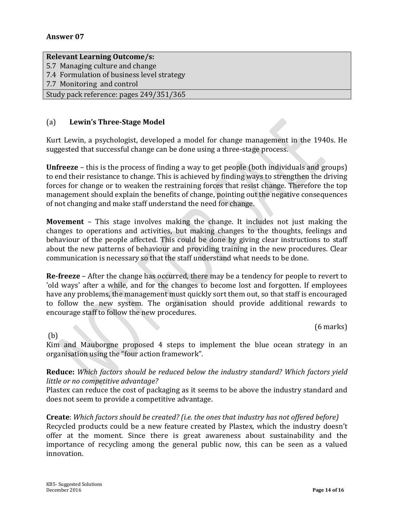#### **Relevant Learning Outcome/s:**

5.7 Managing culture and change

7.4 Formulation of business level strategy

7.7 Monitoring and control

Study pack reference: pages 249/351/365

#### (a) **Lewin's Three-Stage Model**

Kurt Lewin, a psychologist, developed a model for change management in the 1940s. He suggested that successful change can be done using a three-stage process.

**Unfreeze** – this is the process of finding a way to get people (both individuals and groups) to end their resistance to change. This is achieved by finding ways to strengthen the driving forces for change or to weaken the restraining forces that resist change. Therefore the top management should explain the benefits of change, pointing out the negative consequences of not changing and make staff understand the need for change.

**Movement** – This stage involves making the change. It includes not just making the changes to operations and activities, but making changes to the thoughts, feelings and behaviour of the people affected. This could be done by giving clear instructions to staff about the new patterns of behaviour and providing training in the new procedures. Clear communication is necessary so that the staff understand what needs to be done.

**Re-freeze** – After the change has occurred, there may be a tendency for people to revert to 'old ways' after a while, and for the changes to become lost and forgotten. If employees have any problems, the management must quickly sort them out, so that staff is encouraged to follow the new system. The organisation should provide additional rewards to encourage staff to follow the new procedures.

(6 marks)

(b)

Kim and Mauborgne proposed 4 steps to implement the blue ocean strategy in an organisation using the "four action framework".

#### **Reduce:** *Which factors should be reduced below the industry standard? Which factors yield little or no competitive advantage?*

Plastex can reduce the cost of packaging as it seems to be above the industry standard and does not seem to provide a competitive advantage.

#### **Create**: *Which factors should be created? (i.e. the ones that industry has not offered before)*

Recycled products could be a new feature created by Plastex, which the industry doesn't offer at the moment. Since there is great awareness about sustainability and the importance of recycling among the general public now, this can be seen as a valued innovation.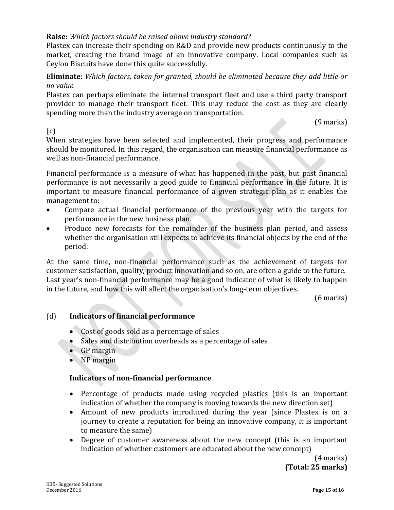#### **Raise:** *Which factors should be raised above industry standard?*

Plastex can increase their spending on R&D and provide new products continuously to the market, creating the brand image of an innovative company. Local companies such as Ceylon Biscuits have done this quite successfully.

**Eliminate**: *Which factors, taken for granted, should be eliminated because they add little or no value.*

Plastex can perhaps eliminate the internal transport fleet and use a third party transport provider to manage their transport fleet. This may reduce the cost as they are clearly spending more than the industry average on transportation.

(9 marks)

(c)

When strategies have been selected and implemented, their progress and performance should be monitored. In this regard, the organisation can measure financial performance as well as non-financial performance.

Financial performance is a measure of what has happened in the past, but past financial performance is not necessarily a good guide to financial performance in the future. It is important to measure financial performance of a given strategic plan as it enables the management to:

- Compare actual financial performance of the previous year with the targets for performance in the new business plan.
- Produce new forecasts for the remainder of the business plan period, and assess whether the organisation still expects to achieve its financial objects by the end of the period.

At the same time, non-financial performance such as the achievement of targets for customer satisfaction, quality, product innovation and so on, are often a guide to the future. Last year's non-financial performance may be a good indicator of what is likely to happen in the future, and how this will affect the organisation's long-term objectives.

(6 marks)

# (d) **Indicators of financial performance**

- Cost of goods sold as a percentage of sales
- Sales and distribution overheads as a percentage of sales
- GP margin
- NP margin

#### **Indicators of non-financial performance**

- Percentage of products made using recycled plastics (this is an important indication of whether the company is moving towards the new direction set)
- Amount of new products introduced during the year (since Plastex is on a journey to create a reputation for being an innovative company, it is important to measure the same)
- Degree of customer awareness about the new concept (this is an important indication of whether customers are educated about the new concept)

(4 marks) **(Total: 25 marks)**